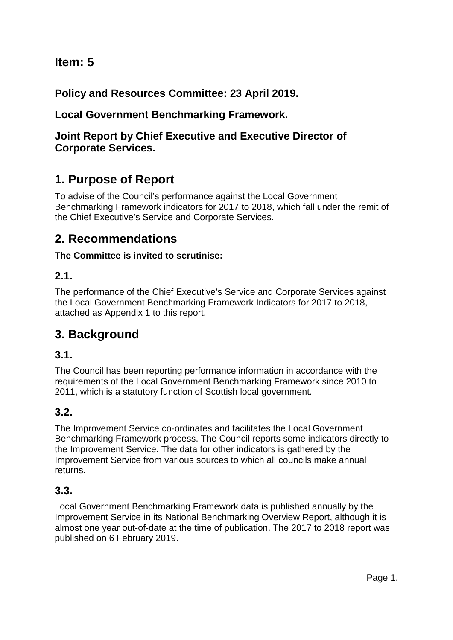# **Item: 5**

**Policy and Resources Committee: 23 April 2019.**

## **Local Government Benchmarking Framework.**

## **Joint Report by Chief Executive and Executive Director of Corporate Services.**

# **1. Purpose of Report**

To advise of the Council's performance against the Local Government Benchmarking Framework indicators for 2017 to 2018, which fall under the remit of the Chief Executive's Service and Corporate Services.

# **2. Recommendations**

### **The Committee is invited to scrutinise:**

### **2.1.**

The performance of the Chief Executive's Service and Corporate Services against the Local Government Benchmarking Framework Indicators for 2017 to 2018, attached as Appendix 1 to this report.

# **3. Background**

## **3.1.**

The Council has been reporting performance information in accordance with the requirements of the Local Government Benchmarking Framework since 2010 to 2011, which is a statutory function of Scottish local government.

## **3.2.**

The Improvement Service co-ordinates and facilitates the Local Government Benchmarking Framework process. The Council reports some indicators directly to the Improvement Service. The data for other indicators is gathered by the Improvement Service from various sources to which all councils make annual returns.

## **3.3.**

Local Government Benchmarking Framework data is published annually by the Improvement Service in its National Benchmarking Overview Report, although it is almost one year out-of-date at the time of publication. The 2017 to 2018 report was published on 6 February 2019.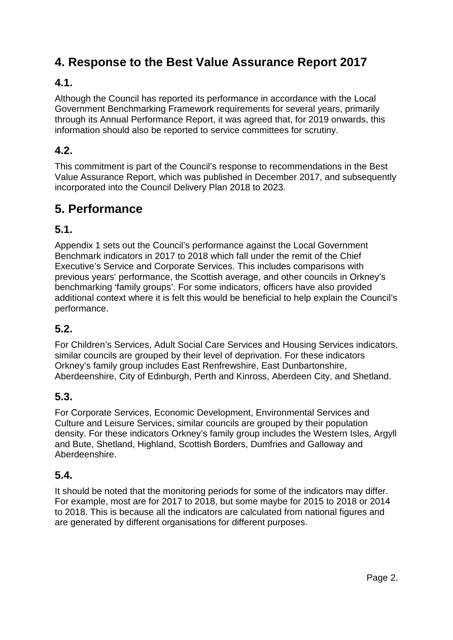# **4. Response to the Best Value Assurance Report 2017**

## **4.1.**

Although the Council has reported its performance in accordance with the Local Government Benchmarking Framework requirements for several years, primarily through its Annual Performance Report, it was agreed that, for 2019 onwards, this information should also be reported to service committees for scrutiny.

## **4.2.**

This commitment is part of the Council's response to recommendations in the Best Value Assurance Report, which was published in December 2017, and subsequently incorporated into the Council Delivery Plan 2018 to 2023.

# **5. Performance**

## **5.1.**

Appendix 1 sets out the Council's performance against the Local Government Benchmark indicators in 2017 to 2018 which fall under the remit of the Chief Executive's Service and Corporate Services. This includes comparisons with previous years' performance, the Scottish average, and other councils in Orkney's benchmarking 'family groups'. For some indicators, officers have also provided additional context where it is felt this would be beneficial to help explain the Council's performance.

## **5.2.**

For Children's Services, Adult Social Care Services and Housing Services indicators, similar councils are grouped by their level of deprivation. For these indicators Orkney's family group includes East Renfrewshire, East Dunbartonshire, Aberdeenshire, City of Edinburgh, Perth and Kinross, Aberdeen City, and Shetland.

## **5.3.**

For Corporate Services, Economic Development, Environmental Services and Culture and Leisure Services, similar councils are grouped by their population density. For these indicators Orkney's family group includes the Western Isles, Argyll and Bute, Shetland, Highland, Scottish Borders, Dumfries and Galloway and Aberdeenshire.

## **5.4.**

It should be noted that the monitoring periods for some of the indicators may differ. For example, most are for 2017 to 2018, but some maybe for 2015 to 2018 or 2014 to 2018. This is because all the indicators are calculated from national figures and are generated by different organisations for different purposes.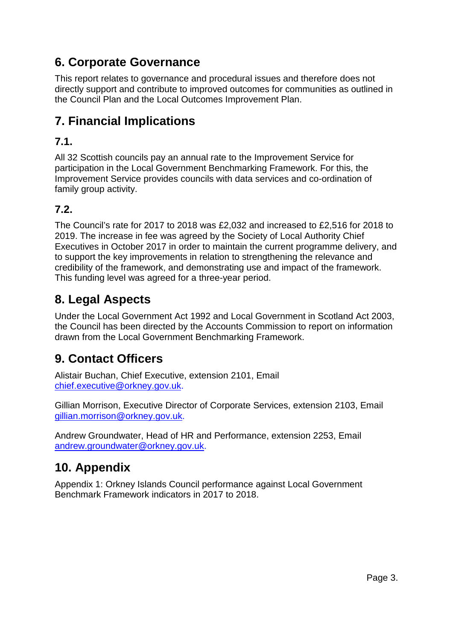# **6. Corporate Governance**

This report relates to governance and procedural issues and therefore does not directly support and contribute to improved outcomes for communities as outlined in the Council Plan and the Local Outcomes Improvement Plan.

# **7. Financial Implications**

## **7.1.**

All 32 Scottish councils pay an annual rate to the Improvement Service for participation in the Local Government Benchmarking Framework. For this, the Improvement Service provides councils with data services and co-ordination of family group activity.

## **7.2.**

The Council's rate for 2017 to 2018 was £2,032 and increased to £2,516 for 2018 to 2019. The increase in fee was agreed by the Society of Local Authority Chief Executives in October 2017 in order to maintain the current programme delivery, and to support the key improvements in relation to strengthening the relevance and credibility of the framework, and demonstrating use and impact of the framework. This funding level was agreed for a three-year period.

# **8. Legal Aspects**

Under the Local Government Act 1992 and Local Government in Scotland Act 2003, the Council has been directed by the Accounts Commission to report on information drawn from the Local Government Benchmarking Framework.

# **9. Contact Officers**

Alistair Buchan, Chief Executive, extension 2101, Email [chief.executive@orkney.gov.uk.](mailto:chief.executive@orkney.gov.uk)

Gillian Morrison, Executive Director of Corporate Services, extension 2103, Email [gillian.morrison@orkney.gov.uk.](mailto:gillian.morrison@orkney.gov.uk)

Andrew Groundwater, Head of HR and Performance, extension 2253, Email [andrew.groundwater@orkney.gov.uk.](mailto:andrew.groundwater@orkney.gov.uk)

# **10. Appendix**

Appendix 1: Orkney Islands Council performance against Local Government Benchmark Framework indicators in 2017 to 2018.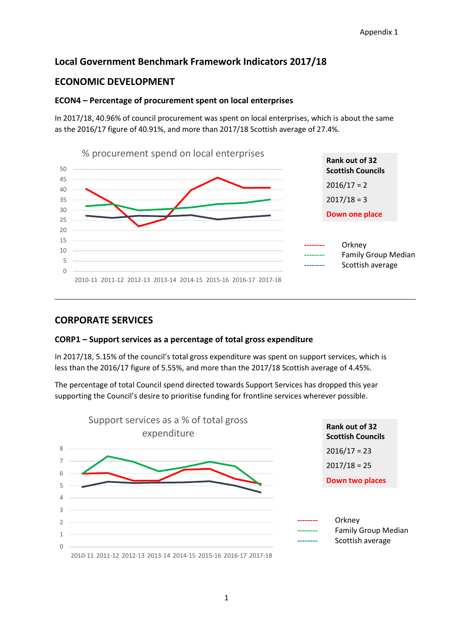### **Local Government Benchmark Framework Indicators 2017/18**

### **ECONOMIC DEVELOPMENT**

#### **ECON4 – Percentage of procurement spent on local enterprises**

In 2017/18, 40.96% of council procurement was spent on local enterprises, which is about the same as the 2016/17 figure of 40.91%, and more than 2017/18 Scottish average of 27.4%.



### **CORPORATE SERVICES**

#### **CORP1 – Support services as a percentage of total gross expenditure**

In 2017/18, 5.15% of the council's total gross expenditure was spent on support services, which is less than the 2016/17 figure of 5.55%, and more than the 2017/18 Scottish average of 4.45%.

The percentage of total Council spend directed towards Support Services has dropped this year supporting the Council's desire to prioritise funding for frontline services wherever possible.

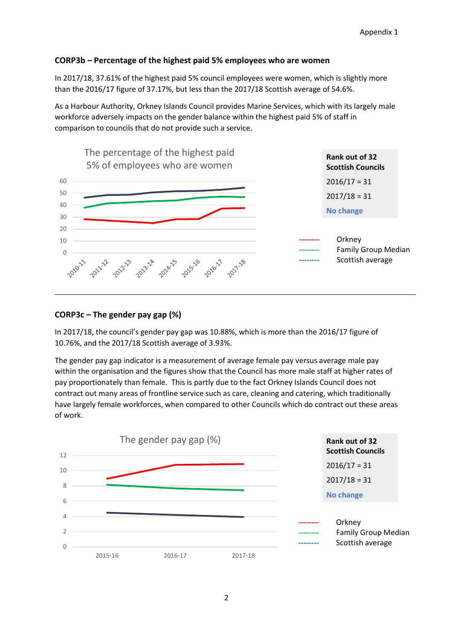#### **CORP3b – Percentage of the highest paid 5% employees who are women**

In 2017/18, 37.61% of the highest paid 5% council employees were women, which is slightly more than the 2016/17 figure of 37.17%, but less than the 2017/18 Scottish average of 54.6%.

As a Harbour Authority, Orkney Islands Council provides Marine Services, which with its largely male workforce adversely impacts on the gender balance within the highest paid 5% of staff in comparison to councils that do not provide such a service.



#### **CORP3c – The gender pay gap (%)**

In 2017/18, the council's gender pay gap was 10.88%, which is more than the 2016/17 figure of 10.76%, and the 2017/18 Scottish average of 3.93%.

The gender pay gap indicator is a measurement of average female pay versus average male pay within the organisation and the figures show that the Council has more male staff at higher rates of pay proportionately than female. This is partly due to the fact Orkney Islands Council does not contract out many areas of frontline service such as care, cleaning and catering, which traditionally have largely female workforces, when compared to other Councils which do contract out these areas of work.

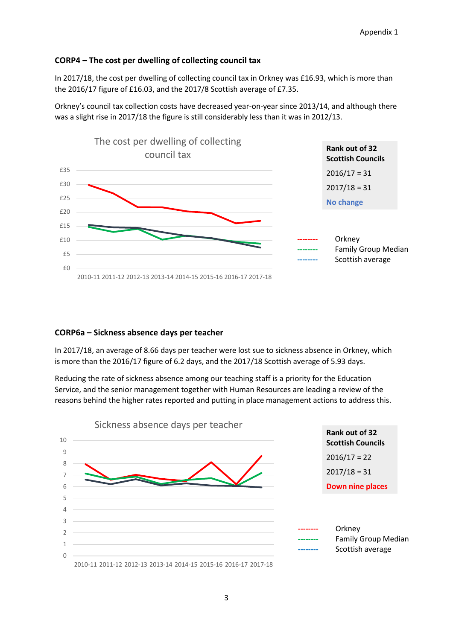#### **CORP4 – The cost per dwelling of collecting council tax**

In 2017/18, the cost per dwelling of collecting council tax in Orkney was £16.93, which is more than the 2016/17 figure of £16.03, and the 2017/8 Scottish average of £7.35.

Orkney's council tax collection costs have decreased year-on-year since 2013/14, and although there was a slight rise in 2017/18 the figure is still considerably less than it was in 2012/13.



#### **CORP6a – Sickness absence days per teacher**

In 2017/18, an average of 8.66 days per teacher were lost sue to sickness absence in Orkney, which is more than the 2016/17 figure of 6.2 days, and the 2017/18 Scottish average of 5.93 days.

Reducing the rate of sickness absence among our teaching staff is a priority for the Education Service, and the senior management together with Human Resources are leading a review of the reasons behind the higher rates reported and putting in place management actions to address this.

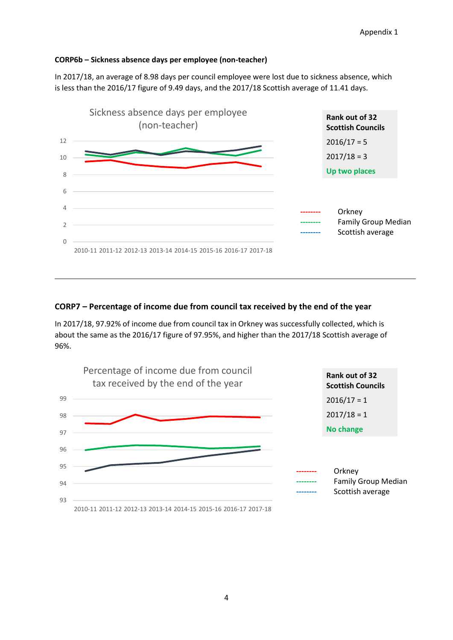#### **CORP6b – Sickness absence days per employee (non-teacher)**

In 2017/18, an average of 8.98 days per council employee were lost due to sickness absence, which is less than the 2016/17 figure of 9.49 days, and the 2017/18 Scottish average of 11.41 days.



#### **CORP7 – Percentage of income due from council tax received by the end of the year**

In 2017/18, 97.92% of income due from council tax in Orkney was successfully collected, which is about the same as the 2016/17 figure of 97.95%, and higher than the 2017/18 Scottish average of 96%.

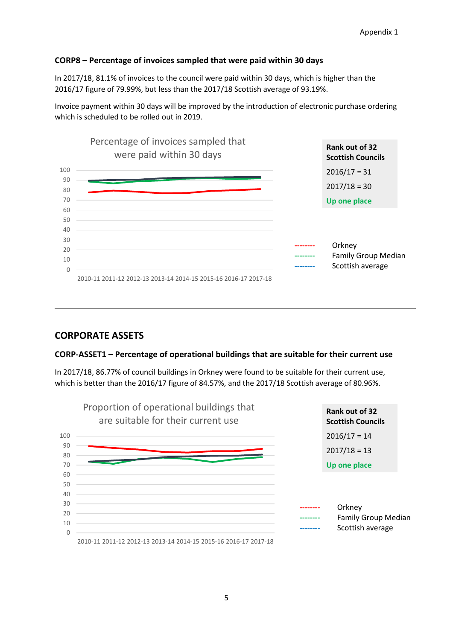### **CORP8 – Percentage of invoices sampled that were paid within 30 days**

In 2017/18, 81.1% of invoices to the council were paid within 30 days, which is higher than the 2016/17 figure of 79.99%, but less than the 2017/18 Scottish average of 93.19%.

Invoice payment within 30 days will be improved by the introduction of electronic purchase ordering which is scheduled to be rolled out in 2019.



### **CORPORATE ASSETS**

#### **CORP-ASSET1 – Percentage of operational buildings that are suitable for their current use**

In 2017/18, 86.77% of council buildings in Orkney were found to be suitable for their current use, which is better than the 2016/17 figure of 84.57%, and the 2017/18 Scottish average of 80.96%.